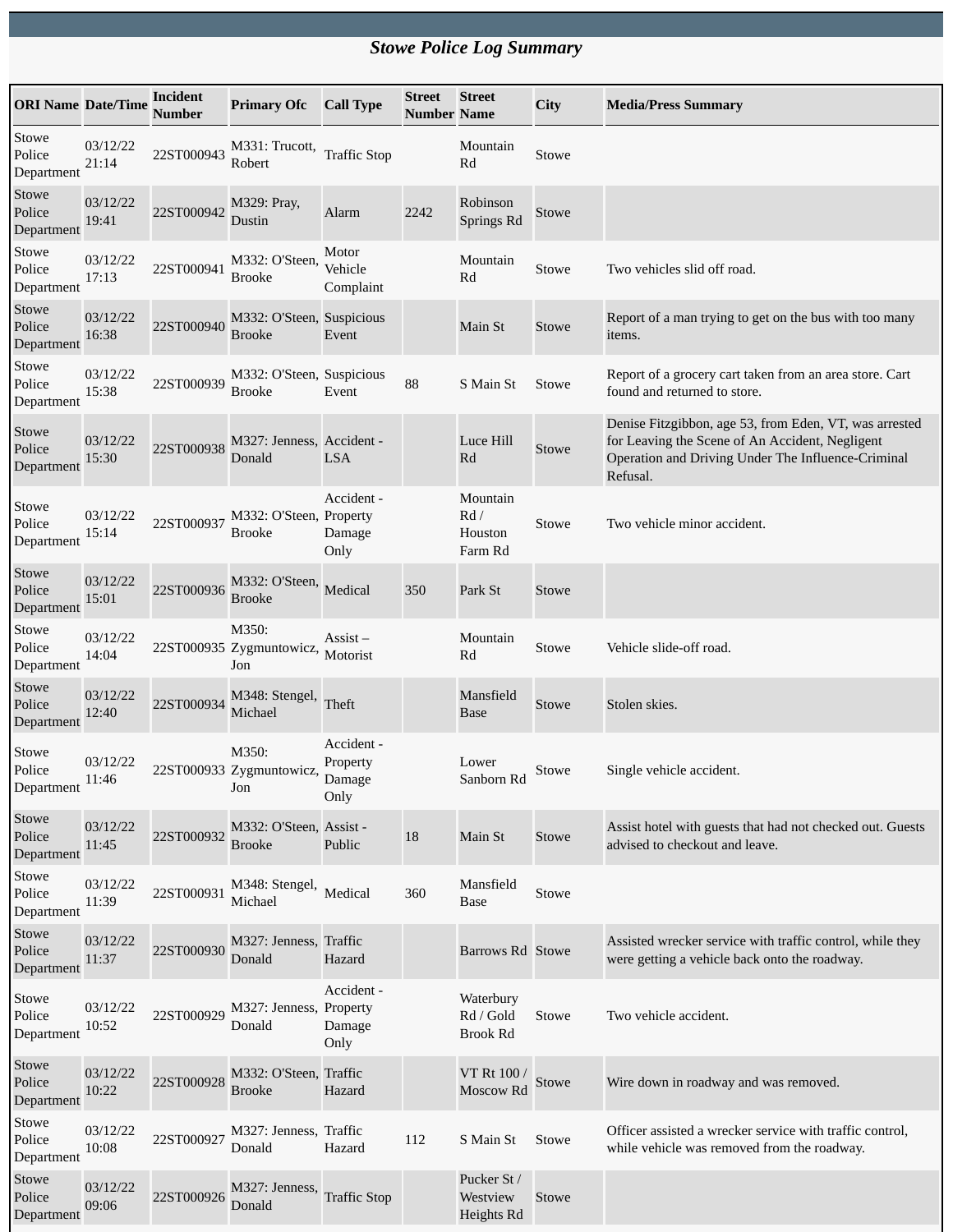## *Stowe Police Log Summary*

| <b>ORI Name Date/Time</b>     |                   | <b>Incident</b><br><b>Number</b> | <b>Primary Ofc</b>                         | <b>Call Type</b>                         | Street<br><b>Number Name</b> | <b>Street</b>                             | City  | <b>Media/Press Summary</b>                                                                                                                                                  |
|-------------------------------|-------------------|----------------------------------|--------------------------------------------|------------------------------------------|------------------------------|-------------------------------------------|-------|-----------------------------------------------------------------------------------------------------------------------------------------------------------------------------|
| Stowe<br>Police<br>Department | 03/12/22<br>21:14 | 22ST000943                       | M331: Trucott,<br>Robert                   | <b>Traffic Stop</b>                      |                              | Mountain<br>Rd                            | Stowe |                                                                                                                                                                             |
| Stowe<br>Police<br>Department | 03/12/22<br>19:41 | 22ST000942                       | M329: Pray,<br>Dustin                      | Alarm                                    | 2242                         | Robinson<br>Springs Rd                    | Stowe |                                                                                                                                                                             |
| Stowe<br>Police<br>Department | 03/12/22<br>17:13 | 22ST000941                       | M332: O'Steen,<br><b>Brooke</b>            | Motor<br>Vehicle<br>Complaint            |                              | Mountain<br>Rd                            | Stowe | Two vehicles slid off road.                                                                                                                                                 |
| Stowe<br>Police<br>Department | 03/12/22<br>16:38 | 22ST000940                       | M332: O'Steen, Suspicious<br><b>Brooke</b> | Event                                    |                              | Main St                                   | Stowe | Report of a man trying to get on the bus with too many<br>items.                                                                                                            |
| Stowe<br>Police<br>Department | 03/12/22<br>15:38 | 22ST000939                       | M332: O'Steen, Suspicious<br><b>Brooke</b> | Event                                    | 88                           | S Main St                                 | Stowe | Report of a grocery cart taken from an area store. Cart<br>found and returned to store.                                                                                     |
| Stowe<br>Police<br>Department | 03/12/22<br>15:30 | 22ST000938                       | M327: Jenness, Accident -<br>Donald        | <b>LSA</b>                               |                              | Luce Hill<br>Rd                           | Stowe | Denise Fitzgibbon, age 53, from Eden, VT, was arrested<br>for Leaving the Scene of An Accident, Negligent<br>Operation and Driving Under The Influence-Criminal<br>Refusal. |
| Stowe<br>Police<br>Department | 03/12/22<br>15:14 | 22ST000937                       | M332: O'Steen, Property<br><b>Brooke</b>   | Accident -<br>Damage<br>Only             |                              | Mountain<br>Rd/<br>Houston<br>Farm Rd     | Stowe | Two vehicle minor accident.                                                                                                                                                 |
| Stowe<br>Police<br>Department | 03/12/22<br>15:01 | 22ST000936                       | M332: O'Steen,<br>Brooke                   | Medical                                  | 350                          | Park St                                   | Stowe |                                                                                                                                                                             |
| Stowe<br>Police<br>Department | 03/12/22<br>14:04 |                                  | M350:<br>22ST000935 Zygmuntowicz,<br>Jon   | Assist –<br>Motorist                     |                              | Mountain<br>Rd                            | Stowe | Vehicle slide-off road.                                                                                                                                                     |
| Stowe<br>Police<br>Department | 03/12/22<br>12:40 | 22ST000934                       | M348: Stengel,<br>Michael                  | Theft                                    |                              | Mansfield<br><b>Base</b>                  | Stowe | Stolen skies.                                                                                                                                                               |
| Stowe<br>Police<br>Department | 03/12/22<br>11:46 |                                  | M350:<br>22ST000933 Zygmuntowicz,<br>Jon   | Accident -<br>Property<br>Damage<br>Only |                              | Lower<br>Sanborn Rd                       | Stowe | Single vehicle accident.                                                                                                                                                    |
| Stowe<br>Police<br>Department | 03/12/22<br>11:45 | 22ST000932                       | M332: O'Steen, Assist -<br><b>Brooke</b>   | Public                                   | 18                           | Main St                                   | Stowe | Assist hotel with guests that had not checked out. Guests<br>advised to checkout and leave.                                                                                 |
| Stowe<br>Police<br>Department | 03/12/22<br>11:39 | 22ST000931                       | M348: Stengel,<br>Michael                  | Medical                                  | 360                          | Mansfield<br><b>Base</b>                  | Stowe |                                                                                                                                                                             |
| Stowe<br>Police<br>Department | 03/12/22<br>11:37 | 22ST000930                       | M327: Jenness, Traffic<br>Donald           | Hazard                                   |                              | Barrows Rd Stowe                          |       | Assisted wrecker service with traffic control, while they<br>were getting a vehicle back onto the roadway.                                                                  |
| Stowe<br>Police<br>Department | 03/12/22<br>10:52 | 22ST000929                       | M327: Jenness, Property<br>Donald          | Accident -<br>Damage<br>Only             |                              | Waterbury<br>Rd / Gold<br><b>Brook Rd</b> | Stowe | Two vehicle accident.                                                                                                                                                       |
| Stowe<br>Police<br>Department | 03/12/22<br>10:22 | 22ST000928                       | M332: O'Steen, Traffic<br><b>Brooke</b>    | Hazard                                   |                              | VT Rt 100 /<br>Moscow Rd                  | Stowe | Wire down in roadway and was removed.                                                                                                                                       |
| Stowe<br>Police<br>Department | 03/12/22<br>10:08 | 22ST000927                       | M327: Jenness, Traffic<br>Donald           | Hazard                                   | 112                          | S Main St                                 | Stowe | Officer assisted a wrecker service with traffic control,<br>while vehicle was removed from the roadway.                                                                     |
| Stowe<br>Police<br>Department | 03/12/22<br>09:06 | 22ST000926                       | M327: Jenness,<br>Donald                   | <b>Traffic Stop</b>                      |                              | Pucker St /<br>Westview<br>Heights Rd     | Stowe |                                                                                                                                                                             |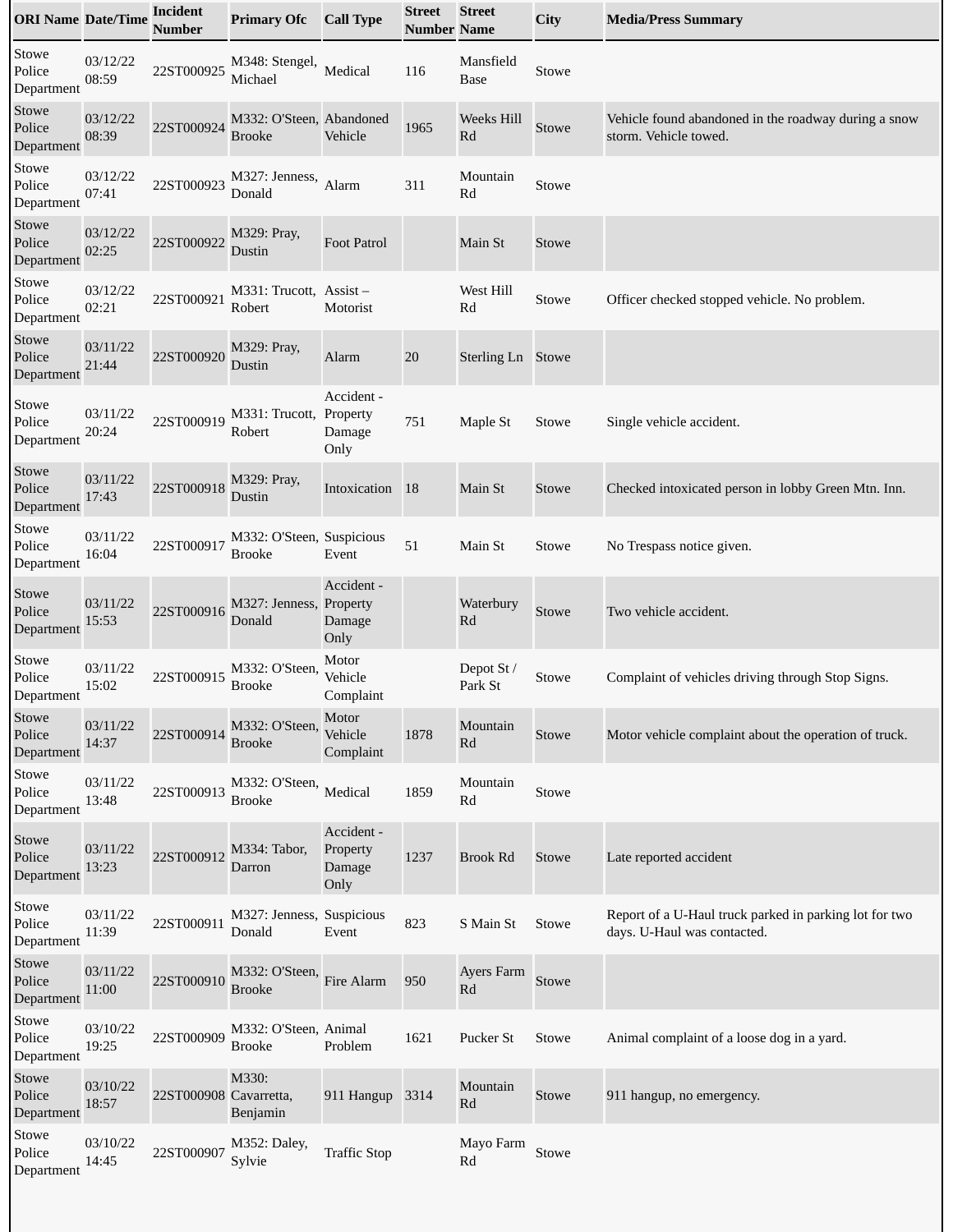| <b>ORI Name Date/Time</b>     |                   | <b>Incident</b><br>Number | <b>Primary Ofc</b>                         | <b>Call Type</b>                         | <b>Street</b><br>Number Name | <b>Street</b>                           | City         | <b>Media/Press Summary</b>                                                            |
|-------------------------------|-------------------|---------------------------|--------------------------------------------|------------------------------------------|------------------------------|-----------------------------------------|--------------|---------------------------------------------------------------------------------------|
| Stowe<br>Police<br>Department | 03/12/22<br>08:59 | 22ST000925                | M348: Stengel,<br>Michael                  | Medical                                  | 116                          | Mansfield<br>Base                       | Stowe        |                                                                                       |
| Stowe<br>Police<br>Department | 03/12/22<br>08:39 | 22ST000924                | M332: O'Steen, Abandoned<br><b>Brooke</b>  | Vehicle                                  | 1965                         | Weeks Hill<br>Rd                        | Stowe        | Vehicle found abandoned in the roadway during a snow<br>storm. Vehicle towed.         |
| Stowe<br>Police<br>Department | 03/12/22<br>07:41 | 22ST000923                | M327: Jenness,<br>Donald                   | Alarm                                    | 311                          | Mountain<br>Rd                          | Stowe        |                                                                                       |
| Stowe<br>Police<br>Department | 03/12/22<br>02:25 | 22ST000922                | M329: Pray,<br>Dustin                      | <b>Foot Patrol</b>                       |                              | Main St                                 | Stowe        |                                                                                       |
| Stowe<br>Police<br>Department | 03/12/22<br>02:21 | 22ST000921                | M331: Trucott, Assist-<br>Robert           | Motorist                                 |                              | West Hill<br>Rd                         | Stowe        | Officer checked stopped vehicle. No problem.                                          |
| Stowe<br>Police<br>Department | 03/11/22<br>21:44 | 22ST000920                | M329: Pray,<br>Dustin                      | Alarm                                    | 20                           | Sterling Ln Stowe                       |              |                                                                                       |
| Stowe<br>Police<br>Department | 03/11/22<br>20:24 | 22ST000919                | M331: Trucott, Property<br>Robert          | Accident -<br>Damage<br>Only             | 751                          | Maple St                                | Stowe        | Single vehicle accident.                                                              |
| Stowe<br>Police<br>Department | 03/11/22<br>17:43 | 22ST000918                | M329: Pray,<br>Dustin                      | Intoxication                             | <sup>18</sup>                | Main St                                 | Stowe        | Checked intoxicated person in lobby Green Mtn. Inn.                                   |
| Stowe<br>Police<br>Department | 03/11/22<br>16:04 | 22ST000917                | M332: O'Steen, Suspicious<br><b>Brooke</b> | Event                                    | 51                           | Main St                                 | Stowe        | No Trespass notice given.                                                             |
| Stowe<br>Police<br>Department | 03/11/22<br>15:53 | 22ST000916                | M327: Jenness, Property<br>Donald          | Accident -<br>Damage<br>Only             |                              | Waterbury<br>Rd                         | Stowe        | Two vehicle accident.                                                                 |
| Stowe<br>Police<br>Department | 03/11/22<br>15:02 | 22ST000915                | M332: O'Steen,<br>Brooke                   | Motor<br>Vehicle<br>Complaint            |                              | Depot St /<br>Park St                   | Stowe        | Complaint of vehicles driving through Stop Signs.                                     |
| Stowe<br>Police<br>Department | 03/11/22<br>14:37 | 22ST000914                | M332: O'Steen,<br><b>Brooke</b>            | Motor<br>Vehicle<br>Complaint            | 1878                         | Mountain<br>Rd                          | Stowe        | Motor vehicle complaint about the operation of truck.                                 |
| Stowe<br>Police<br>Department | 03/11/22<br>13:48 | 22ST000913                | M332: O'Steen,<br><b>Brooke</b>            | Medical                                  | 1859                         | Mountain<br>Rd                          | Stowe        |                                                                                       |
| Stowe<br>Police<br>Department | 03/11/22<br>13:23 | 22ST000912                | M334: Tabor,<br>Darron                     | Accident -<br>Property<br>Damage<br>Only | 1237                         | <b>Brook Rd</b>                         | <b>Stowe</b> | Late reported accident                                                                |
| Stowe<br>Police<br>Department | 03/11/22<br>11:39 | 22ST000911                | M327: Jenness, Suspicious<br>Donald        | Event                                    | 823                          | S Main St                               | Stowe        | Report of a U-Haul truck parked in parking lot for two<br>days. U-Haul was contacted. |
| Stowe<br>Police<br>Department | 03/11/22<br>11:00 | 22ST000910                | M332: O'Steen,<br><b>Brooke</b>            | Fire Alarm                               | 950                          | Ayers Farm<br>Rd                        | Stowe        |                                                                                       |
| Stowe<br>Police<br>Department | 03/10/22<br>19:25 | 22ST000909                | M332: O'Steen, Animal<br><b>Brooke</b>     | Problem                                  | 1621                         | Pucker St                               | Stowe        | Animal complaint of a loose dog in a yard.                                            |
| Stowe<br>Police<br>Department | 03/10/22<br>18:57 | 22ST000908 Cavarretta,    | M330:<br>Benjamin                          | 911 Hangup                               | 3314                         | Mountain<br>Rd                          | Stowe        | 911 hangup, no emergency.                                                             |
| Stowe<br>Police<br>Department | 03/10/22<br>14:45 | 22ST000907                | M352: Daley,<br>Sylvie                     | <b>Traffic Stop</b>                      |                              | Mayo Farm<br>$\mathop{\rm Rd}\nolimits$ | Stowe        |                                                                                       |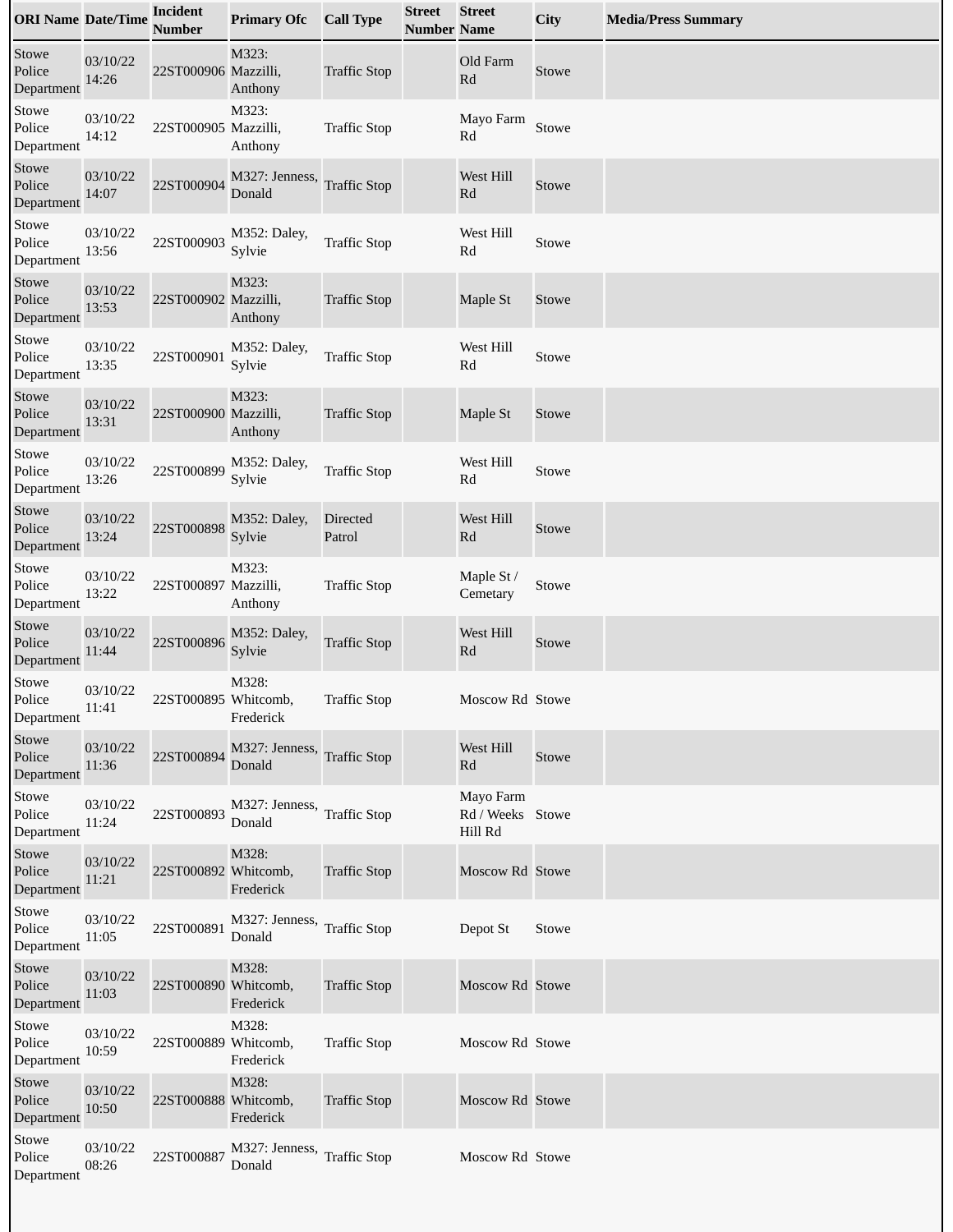| <b>ORI Name Date/Time</b>     |                   | <b>Incident</b><br>Number | <b>Primary Ofc</b>                    | <b>Call Type</b>          | <b>Street</b><br><b>Number Name</b> | <b>Street</b>                            | City  | <b>Media/Press Summary</b> |
|-------------------------------|-------------------|---------------------------|---------------------------------------|---------------------------|-------------------------------------|------------------------------------------|-------|----------------------------|
| Stowe<br>Police<br>Department | 03/10/22<br>14:26 | 22ST000906 Mazzilli,      | M323:<br>Anthony                      | <b>Traffic Stop</b>       |                                     | Old Farm<br>$\mathbf{R}\mathbf{d}$       | Stowe |                            |
| Stowe<br>Police<br>Department | 03/10/22<br>14:12 | 22ST000905 Mazzilli,      | M323:<br>Anthony                      | <b>Traffic Stop</b>       |                                     | Mayo Farm<br>Rd                          | Stowe |                            |
| Stowe<br>Police<br>Department | 03/10/22<br>14:07 | 22ST000904                | M327: Jenness,<br>Donald              | <b>Traffic Stop</b>       |                                     | West Hill<br>Rd                          | Stowe |                            |
| Stowe<br>Police<br>Department | 03/10/22<br>13:56 | 22ST000903                | M352: Daley,<br>Sylvie                | <b>Traffic Stop</b>       |                                     | West Hill<br>Rd                          | Stowe |                            |
| Stowe<br>Police<br>Department | 03/10/22<br>13:53 | 22ST000902 Mazzilli,      | M323:<br>Anthony                      | <b>Traffic Stop</b>       |                                     | Maple St                                 | Stowe |                            |
| Stowe<br>Police<br>Department | 03/10/22<br>13:35 | 22ST000901                | M352: Daley,<br>Sylvie                | <b>Traffic Stop</b>       |                                     | West Hill<br>Rd                          | Stowe |                            |
| Stowe<br>Police<br>Department | 03/10/22<br>13:31 | 22ST000900 Mazzilli,      | M323:<br>Anthony                      | <b>Traffic Stop</b>       |                                     | Maple St                                 | Stowe |                            |
| Stowe<br>Police<br>Department | 03/10/22<br>13:26 | 22ST000899                | M352: Daley,<br>Sylvie                | <b>Traffic Stop</b>       |                                     | West Hill<br>Rd                          | Stowe |                            |
| Stowe<br>Police<br>Department | 03/10/22<br>13:24 | 22ST000898                | M352: Daley,<br>Sylvie                | <b>Directed</b><br>Patrol |                                     | West Hill<br>Rd                          | Stowe |                            |
| Stowe<br>Police<br>Department | 03/10/22<br>13:22 | 22ST000897 Mazzilli,      | M323:<br>Anthony                      | <b>Traffic Stop</b>       |                                     | Maple St /<br>Cemetary                   | Stowe |                            |
| Stowe<br>Police<br>Department | 03/10/22<br>11:44 | 22ST000896                | M352: Daley,<br>Sylvie                | <b>Traffic Stop</b>       |                                     | West Hill<br>Rd                          | Stowe |                            |
| Stowe<br>Police<br>Department | 03/10/22<br>11:41 | 22ST000895 Whitcomb,      | M328:<br>Frederick                    | <b>Traffic Stop</b>       |                                     | Moscow Rd Stowe                          |       |                            |
| Stowe<br>Police<br>Department | 03/10/22<br>11:36 | 22ST000894                | M327: Jenness,<br>Donald              | <b>Traffic Stop</b>       |                                     | West Hill<br>Rd                          | Stowe |                            |
| Stowe<br>Police<br>Department | 03/10/22<br>11:24 | 22ST000893                | M327: Jenness, Traffic Stop<br>Donald |                           |                                     | Mayo Farm<br>Rd / Weeks Stowe<br>Hill Rd |       |                            |
| Stowe<br>Police<br>Department | 03/10/22<br>11:21 | 22ST000892 Whitcomb,      | M328:<br>Frederick                    | <b>Traffic Stop</b>       |                                     | Moscow Rd Stowe                          |       |                            |
| Stowe<br>Police<br>Department | 03/10/22<br>11:05 | 22ST000891                | M327: Jenness,<br>Donald              | <b>Traffic Stop</b>       |                                     | Depot St                                 | Stowe |                            |
| Stowe<br>Police<br>Department | 03/10/22<br>11:03 | 22ST000890 Whitcomb,      | M328:<br>Frederick                    | <b>Traffic Stop</b>       |                                     | Moscow Rd Stowe                          |       |                            |
| Stowe<br>Police<br>Department | 03/10/22<br>10:59 | 22ST000889 Whitcomb,      | M328:<br>Frederick                    | <b>Traffic Stop</b>       |                                     | Moscow Rd Stowe                          |       |                            |
| Stowe<br>Police<br>Department | 03/10/22<br>10:50 | 22ST000888 Whitcomb,      | M328:<br>Frederick                    | <b>Traffic Stop</b>       |                                     | Moscow Rd Stowe                          |       |                            |
| Stowe<br>Police<br>Department | 03/10/22<br>08:26 | 22ST000887                | M327: Jenness,<br>Donald              | <b>Traffic Stop</b>       |                                     | Moscow Rd Stowe                          |       |                            |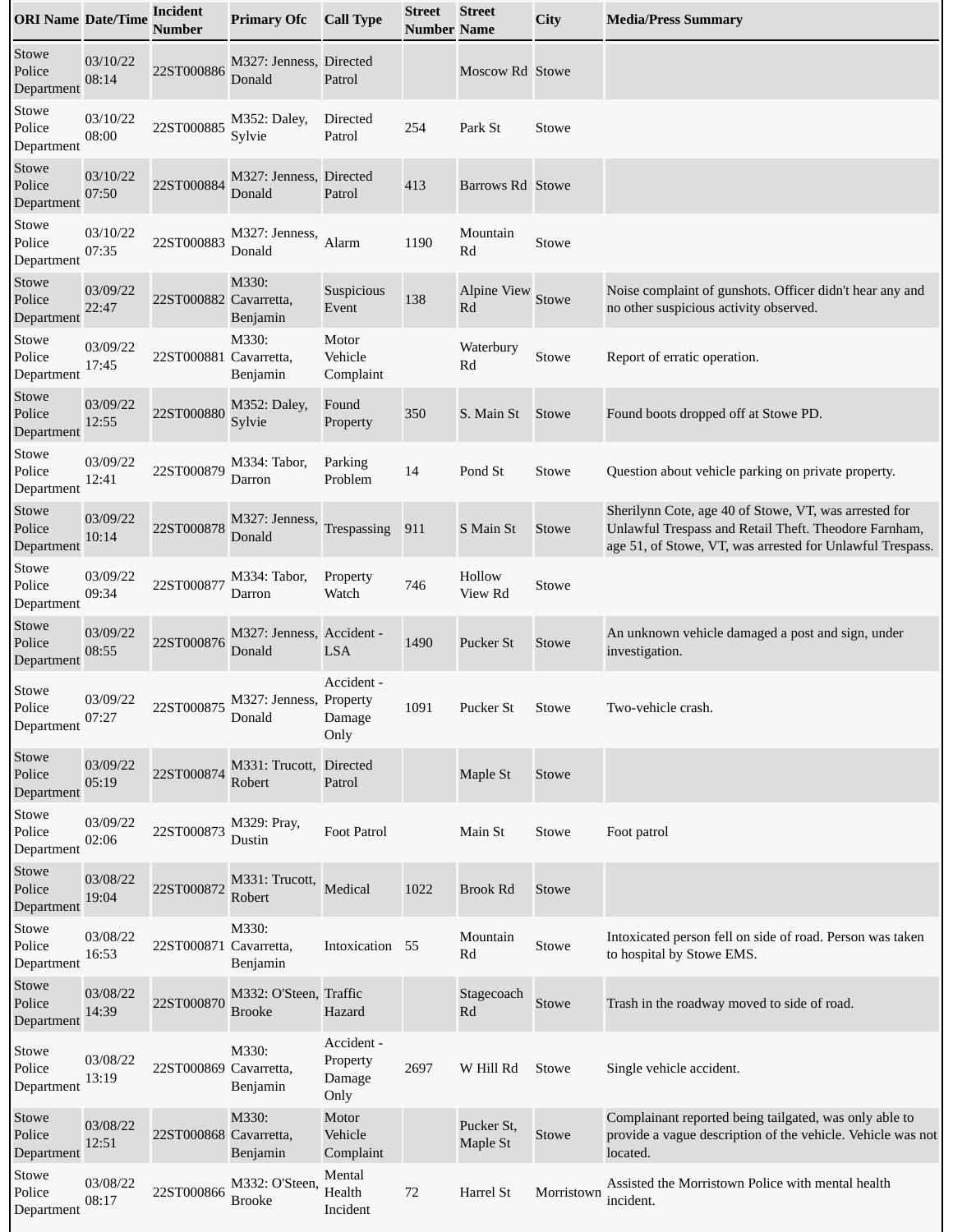| <b>ORI Name Date/Time</b>     |                   | <b>Incident</b><br><b>Number</b> | <b>Primary Ofc</b>                      | <b>Call Type</b>                         | <b>Street</b><br><b>Number Name</b> | <b>Street</b>            | City         | <b>Media/Press Summary</b>                                                                                                                                                  |
|-------------------------------|-------------------|----------------------------------|-----------------------------------------|------------------------------------------|-------------------------------------|--------------------------|--------------|-----------------------------------------------------------------------------------------------------------------------------------------------------------------------------|
| Stowe<br>Police<br>Department | 03/10/22<br>08:14 | 22ST000886                       | M327: Jenness, Directed<br>Donald       | Patrol                                   |                                     | Moscow Rd Stowe          |              |                                                                                                                                                                             |
| Stowe<br>Police<br>Department | 03/10/22<br>08:00 | 22ST000885                       | M352: Daley,<br>Sylvie                  | Directed<br>Patrol                       | 254                                 | Park St                  | Stowe        |                                                                                                                                                                             |
| Stowe<br>Police<br>Department | 03/10/22<br>07:50 | 22ST000884                       | M327: Jenness, Directed<br>Donald       | Patrol                                   | 413                                 | Barrows Rd Stowe         |              |                                                                                                                                                                             |
| Stowe<br>Police<br>Department | 03/10/22<br>07:35 | 22ST000883                       | M327: Jenness,<br>Donald                | Alarm                                    | 1190                                | Mountain<br>Rd           | Stowe        |                                                                                                                                                                             |
| Stowe<br>Police<br>Department | 03/09/22<br>22:47 | 22ST000882 Cavarretta,           | M330:<br>Benjamin                       | Suspicious<br>Event                      | 138                                 | <b>Alpine View</b><br>Rd | Stowe        | Noise complaint of gunshots. Officer didn't hear any and<br>no other suspicious activity observed.                                                                          |
| Stowe<br>Police<br>Department | 03/09/22<br>17:45 | 22ST000881 Cavarretta,           | M330:<br>Benjamin                       | Motor<br>Vehicle<br>Complaint            |                                     | Waterbury<br>Rd          | Stowe        | Report of erratic operation.                                                                                                                                                |
| Stowe<br>Police<br>Department | 03/09/22<br>12:55 | 22ST000880                       | M352: Daley,<br>Sylvie                  | Found<br>Property                        | 350                                 | S. Main St               | <b>Stowe</b> | Found boots dropped off at Stowe PD.                                                                                                                                        |
| Stowe<br>Police<br>Department | 03/09/22<br>12:41 | 22ST000879                       | M334: Tabor,<br>Darron                  | Parking<br>Problem                       | 14                                  | Pond St                  | Stowe        | Question about vehicle parking on private property.                                                                                                                         |
| Stowe<br>Police<br>Department | 03/09/22<br>10:14 | 22ST000878                       | M327: Jenness,<br>Donald                | Trespassing                              | 911                                 | S Main St                | Stowe        | Sherilynn Cote, age 40 of Stowe, VT, was arrested for<br>Unlawful Trespass and Retail Theft. Theodore Farnham,<br>age 51, of Stowe, VT, was arrested for Unlawful Trespass. |
| Stowe<br>Police<br>Department | 03/09/22<br>09:34 | 22ST000877                       | M334: Tabor,<br>Darron                  | Property<br>Watch                        | 746                                 | Hollow<br>View Rd        | Stowe        |                                                                                                                                                                             |
| Stowe<br>Police<br>Department | 03/09/22<br>08:55 | 22ST000876                       | M327: Jenness, Accident -<br>Donald     | <b>LSA</b>                               | 1490                                | Pucker St                | Stowe        | An unknown vehicle damaged a post and sign, under<br>investigation.                                                                                                         |
| Stowe<br>Police<br>Department | 03/09/22<br>07:27 | 22ST000875                       | M327: Jenness, Property<br>Donald       | Accident -<br>Damage<br>Only             | 1091                                | Pucker St                | Stowe        | Two-vehicle crash.                                                                                                                                                          |
| Stowe<br>Police<br>Department | 03/09/22<br>05:19 | 22ST000874                       | M331: Trucott,<br>Robert                | <b>Directed</b><br>Patrol                |                                     | Maple St                 | Stowe        |                                                                                                                                                                             |
| Stowe<br>Police<br>Department | 03/09/22<br>02:06 | 22ST000873                       | M329: Pray,<br>Dustin                   | Foot Patrol                              |                                     | Main St                  | Stowe        | Foot patrol                                                                                                                                                                 |
| Stowe<br>Police<br>Department | 03/08/22<br>19:04 | 22ST000872                       | M331: Trucott,<br>Robert                | Medical                                  | 1022                                | <b>Brook Rd</b>          | Stowe        |                                                                                                                                                                             |
| Stowe<br>Police<br>Department | 03/08/22<br>16:53 | 22ST000871 Cavarretta,           | M330:<br>Benjamin                       | Intoxication 55                          |                                     | Mountain<br>Rd           | Stowe        | Intoxicated person fell on side of road. Person was taken<br>to hospital by Stowe EMS.                                                                                      |
| Stowe<br>Police<br>Department | 03/08/22<br>14:39 | 22ST000870                       | M332: O'Steen, Traffic<br><b>Brooke</b> | Hazard                                   |                                     | Stagecoach<br>Rd         | Stowe        | Trash in the roadway moved to side of road.                                                                                                                                 |
| Stowe<br>Police<br>Department | 03/08/22<br>13:19 | 22ST000869 Cavarretta,           | M330:<br>Benjamin                       | Accident -<br>Property<br>Damage<br>Only | 2697                                | W Hill Rd                | Stowe        | Single vehicle accident.                                                                                                                                                    |
| Stowe<br>Police<br>Department | 03/08/22<br>12:51 | 22ST000868 Cavarretta,           | M330:<br>Benjamin                       | Motor<br>Vehicle<br>Complaint            |                                     | Pucker St,<br>Maple St   | Stowe        | Complainant reported being tailgated, was only able to<br>provide a vague description of the vehicle. Vehicle was not<br>located.                                           |
| Stowe<br>Police<br>Department | 03/08/22<br>08:17 | 22ST000866                       | M332: O'Steen,<br><b>Brooke</b>         | Mental<br>Health<br>Incident             | 72                                  | Harrel St                | Morristown   | Assisted the Morristown Police with mental health<br>incident.                                                                                                              |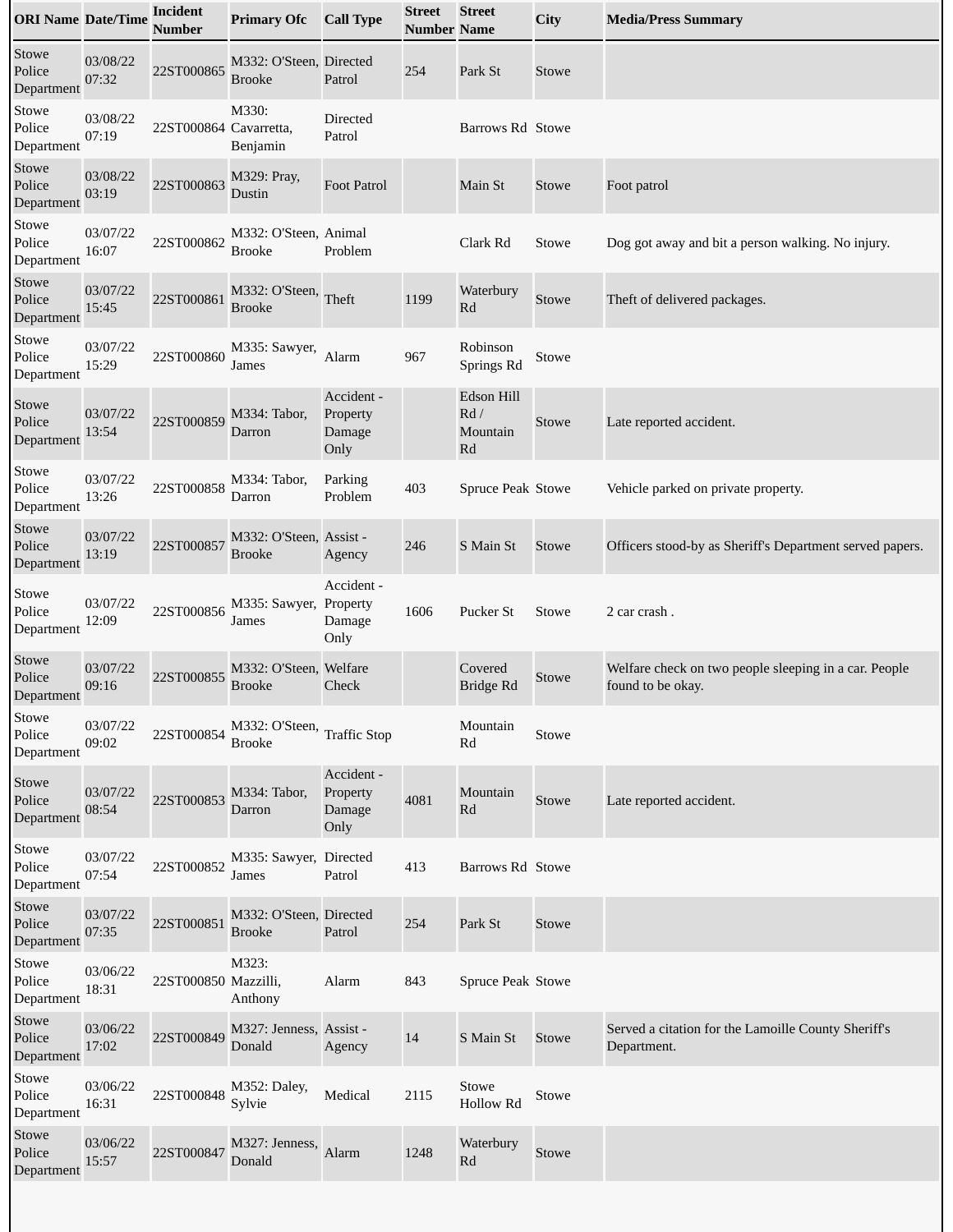| <b>ORI Name Date/Time</b>     |                   | <b>Incident</b><br>Number | <b>Primary Ofc</b>                       | <b>Call Type</b>                         | <b>Street</b><br><b>Number Name</b> | <b>Street</b>                                              | City         | <b>Media/Press Summary</b>                                                 |
|-------------------------------|-------------------|---------------------------|------------------------------------------|------------------------------------------|-------------------------------------|------------------------------------------------------------|--------------|----------------------------------------------------------------------------|
| Stowe<br>Police<br>Department | 03/08/22<br>07:32 | 22ST000865                | M332: O'Steen, Directed<br><b>Brooke</b> | Patrol                                   | 254                                 | Park St                                                    | Stowe        |                                                                            |
| Stowe<br>Police<br>Department | 03/08/22<br>07:19 | 22ST000864 Cavarretta,    | M330:<br>Benjamin                        | Directed<br>Patrol                       |                                     | Barrows Rd Stowe                                           |              |                                                                            |
| Stowe<br>Police<br>Department | 03/08/22<br>03:19 | 22ST000863                | M329: Pray,<br>Dustin                    | <b>Foot Patrol</b>                       |                                     | Main St                                                    | Stowe        | Foot patrol                                                                |
| Stowe<br>Police<br>Department | 03/07/22<br>16:07 | 22ST000862                | M332: O'Steen, Animal<br><b>Brooke</b>   | Problem                                  |                                     | Clark Rd                                                   | Stowe        | Dog got away and bit a person walking. No injury.                          |
| Stowe<br>Police<br>Department | 03/07/22<br>15:45 | 22ST000861                | M332: O'Steen,<br><b>Brooke</b>          | Theft                                    | 1199                                | Waterbury<br>Rd                                            | Stowe        | Theft of delivered packages.                                               |
| Stowe<br>Police<br>Department | 03/07/22<br>15:29 | 22ST000860                | M335: Sawyer,<br>James                   | Alarm                                    | 967                                 | Robinson<br>Springs Rd                                     | Stowe        |                                                                            |
| Stowe<br>Police<br>Department | 03/07/22<br>13:54 | 22ST000859                | M334: Tabor,<br>Darron                   | Accident -<br>Property<br>Damage<br>Only |                                     | Edson Hill<br>$\ensuremath{\text{Rd}}$ /<br>Mountain<br>Rd | Stowe        | Late reported accident.                                                    |
| Stowe<br>Police<br>Department | 03/07/22<br>13:26 | 22ST000858                | M334: Tabor,<br>Darron                   | Parking<br>Problem                       | 403                                 | Spruce Peak Stowe                                          |              | Vehicle parked on private property.                                        |
| Stowe<br>Police<br>Department | 03/07/22<br>13:19 | 22ST000857                | M332: O'Steen, Assist -<br><b>Brooke</b> | Agency                                   | 246                                 | S Main St                                                  | <b>Stowe</b> | Officers stood-by as Sheriff's Department served papers.                   |
| Stowe<br>Police<br>Department | 03/07/22<br>12:09 | 22ST000856                | M335: Sawyer, Property<br>James          | Accident -<br>Damage<br>Only             | 1606                                | <b>Pucker St</b>                                           | Stowe        | 2 car crash.                                                               |
| Stowe<br>Police<br>Department | 03/07/22<br>09:16 | 22ST000855                | M332: O'Steen, Welfare<br><b>Brooke</b>  | Check                                    |                                     | Covered<br><b>Bridge Rd</b>                                | Stowe        | Welfare check on two people sleeping in a car. People<br>found to be okay. |
| Stowe<br>Police<br>Department | 03/07/22<br>09:02 | 22ST000854                | M332: O'Steen, Traffic Stop<br>Brooke    |                                          |                                     | Mountain<br>Rd                                             | Stowe        |                                                                            |
| Stowe<br>Police<br>Department | 03/07/22<br>08:54 | 22ST000853                | M334: Tabor,<br>Darron                   | Accident -<br>Property<br>Damage<br>Only | 4081                                | Mountain<br>Rd                                             | Stowe        | Late reported accident.                                                    |
| Stowe<br>Police<br>Department | 03/07/22<br>07:54 | 22ST000852                | M335: Sawyer, Directed<br>James          | Patrol                                   | 413                                 | Barrows Rd Stowe                                           |              |                                                                            |
| Stowe<br>Police<br>Department | 03/07/22<br>07:35 | 22ST000851                | M332: O'Steen, Directed<br><b>Brooke</b> | Patrol                                   | 254                                 | Park St                                                    | Stowe        |                                                                            |
| Stowe<br>Police<br>Department | 03/06/22<br>18:31 | 22ST000850 Mazzilli,      | M323:<br>Anthony                         | Alarm                                    | 843                                 | Spruce Peak Stowe                                          |              |                                                                            |
| Stowe<br>Police<br>Department | 03/06/22<br>17:02 | 22ST000849                | M327: Jenness, Assist -<br>Donald        | Agency                                   | 14                                  | S Main St                                                  | Stowe        | Served a citation for the Lamoille County Sheriff's<br>Department.         |
| Stowe<br>Police<br>Department | 03/06/22<br>16:31 | 22ST000848                | M352: Daley,<br>Sylvie                   | Medical                                  | 2115                                | Stowe<br><b>Hollow Rd</b>                                  | Stowe        |                                                                            |
| Stowe<br>Police<br>Department | 03/06/22<br>15:57 | 22ST000847                | M327: Jenness,<br>Donald                 | Alarm                                    | 1248                                | Waterbury<br>Rd                                            | Stowe        |                                                                            |
|                               |                   |                           |                                          |                                          |                                     |                                                            |              |                                                                            |